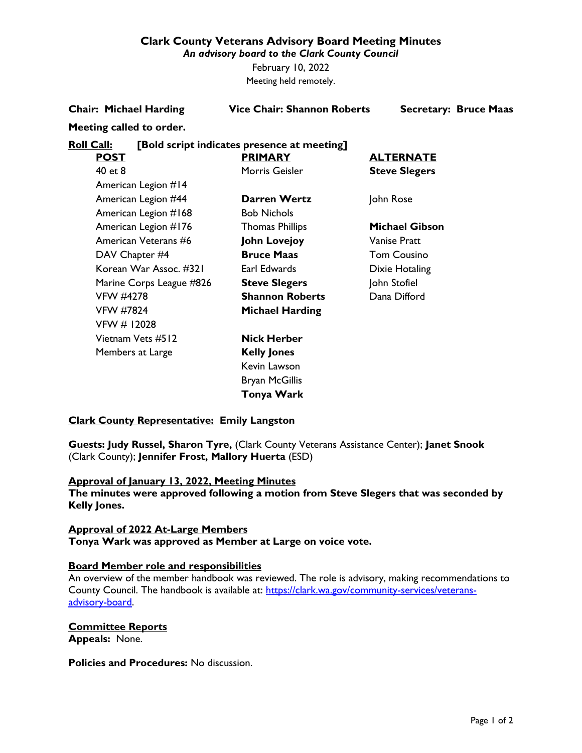# **Clark County Veterans Advisory Board Meeting Minutes**

*An advisory board to the Clark County Council*

February 10, 2022 Meeting held remotely.

**Chair: Michael Harding Vice Chair: Shannon Roberts Secretary: Bruce Maas**

### **Meeting called to order.**

# **Roll Call: [Bold script indicates presence at meeting]**

| <b>POST</b>              | <b>PRIMARY</b>         | <b>ALTERNATE</b>     |
|--------------------------|------------------------|----------------------|
| 40 et 8                  | Morris Geisler         | <b>Steve Slegers</b> |
| American Legion #14      |                        |                      |
| American Legion #44      | Darren Wertz           | John Rose            |
| American Legion #168     | <b>Bob Nichols</b>     |                      |
| American Legion #176     | <b>Thomas Phillips</b> | Michael Gibson       |
| American Veterans #6     | John Lovejoy           | Vanise Pratt         |
| DAV Chapter #4           | <b>Bruce Maas</b>      | <b>Tom Cousino</b>   |
| Korean War Assoc. #321   | Earl Edwards           | Dixie Hotaling       |
| Marine Corps League #826 | <b>Steve Slegers</b>   | John Stofiel         |
| VFW #4278                | <b>Shannon Roberts</b> | Dana Difford         |
| <b>VFW #7824</b>         | <b>Michael Harding</b> |                      |
| VFW # 12028              |                        |                      |
| Vietnam Vets #512        | <b>Nick Herber</b>     |                      |
| Members at Large         | <b>Kelly Jones</b>     |                      |
|                          | Kevin Lawson           |                      |
|                          | <b>Bryan McGillis</b>  |                      |
|                          | Tonya Wark             |                      |

# **Clark County Representative: Emily Langston**

**Guests: Judy Russel, Sharon Tyre,** (Clark County Veterans Assistance Center); **Janet Snook** (Clark County); **Jennifer Frost, Mallory Huerta** (ESD)

# **Approval of January 13, 2022, Meeting Minutes**

**The minutes were approved following a motion from Steve Slegers that was seconded by Kelly Jones.**

# **Approval of 2022 At-Large Members Tonya Wark was approved as Member at Large on voice vote.**

# **Board Member role and responsibilities**

An overview of the member handbook was reviewed. The role is advisory, making recommendations to County Council. The handbook is available at: [https://clark.wa.gov/community-services/veterans](https://clark.wa.gov/community-services/veterans-advisory-board)[advisory-board.](https://clark.wa.gov/community-services/veterans-advisory-board)

#### **Committee Reports Appeals:** None.

**Policies and Procedures:** No discussion.